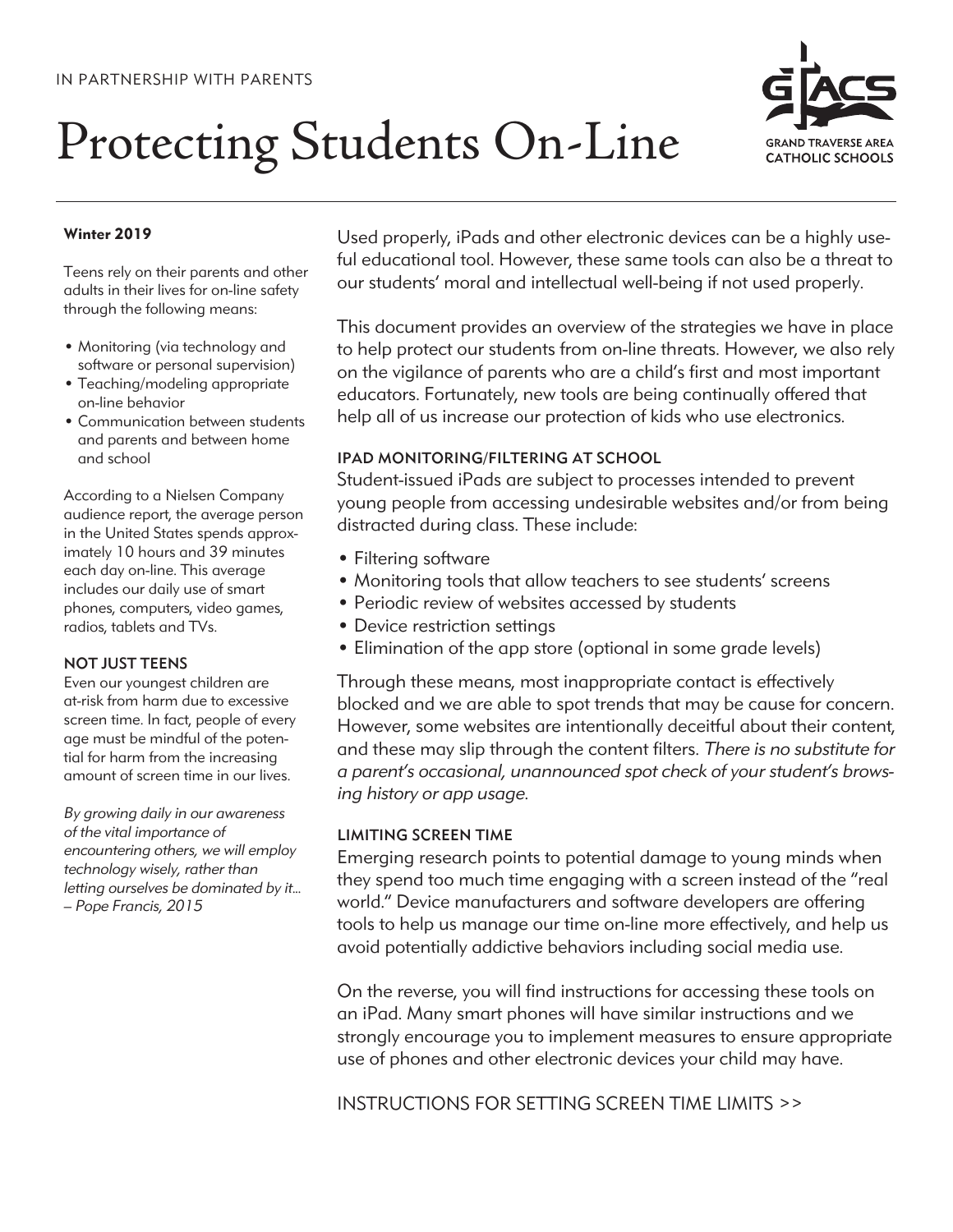# Protecting Students On-Line



### **Winter 2019**

Teens rely on their parents and other adults in their lives for on-line safety through the following means:

- Monitoring (via technology and software or personal supervision)
- Teaching/modeling appropriate on-line behavior
- Communication between students and parents and between home and school

According to a Nielsen Company audience report, the average person in the United States spends approximately 10 hours and 39 minutes each day on-line. This average includes our daily use of smart phones, computers, video games, radios, tablets and TVs.

### NOT JUST TEENS

Even our youngest children are at-risk from harm due to excessive screen time. In fact, people of every age must be mindful of the potential for harm from the increasing amount of screen time in our lives.

*By growing daily in our awareness of the vital importance of encountering others, we will employ technology wisely, rather than letting ourselves be dominated by it... – Pope Francis, 2015*

Used properly, iPads and other electronic devices can be a highly useful educational tool. However, these same tools can also be a threat to our students' moral and intellectual well-being if not used properly.

This document provides an overview of the strategies we have in place to help protect our students from on-line threats. However, we also rely on the vigilance of parents who are a child's first and most important educators. Fortunately, new tools are being continually offered that help all of us increase our protection of kids who use electronics.

## IPAD MONITORING/FILTERING AT SCHOOL

Student-issued iPads are subject to processes intended to prevent young people from accessing undesirable websites and/or from being distracted during class. These include:

- Filtering software
- Monitoring tools that allow teachers to see students' screens
- Periodic review of websites accessed by students
- Device restriction settings
- Elimination of the app store (optional in some grade levels)

Through these means, most inappropriate contact is effectively blocked and we are able to spot trends that may be cause for concern. However, some websites are intentionally deceitful about their content, and these may slip through the content filters. *There is no substitute for a parent's occasional, unannounced spot check of your student's browsing history or app usage.*

### LIMITING SCREEN TIME

Emerging research points to potential damage to young minds when they spend too much time engaging with a screen instead of the "real world." Device manufacturers and software developers are offering tools to help us manage our time on-line more effectively, and help us avoid potentially addictive behaviors including social media use.

On the reverse, you will find instructions for accessing these tools on an iPad. Many smart phones will have similar instructions and we strongly encourage you to implement measures to ensure appropriate use of phones and other electronic devices your child may have.

INSTRUCTIONS FOR SETTING SCREEN TIME LIMITS >>